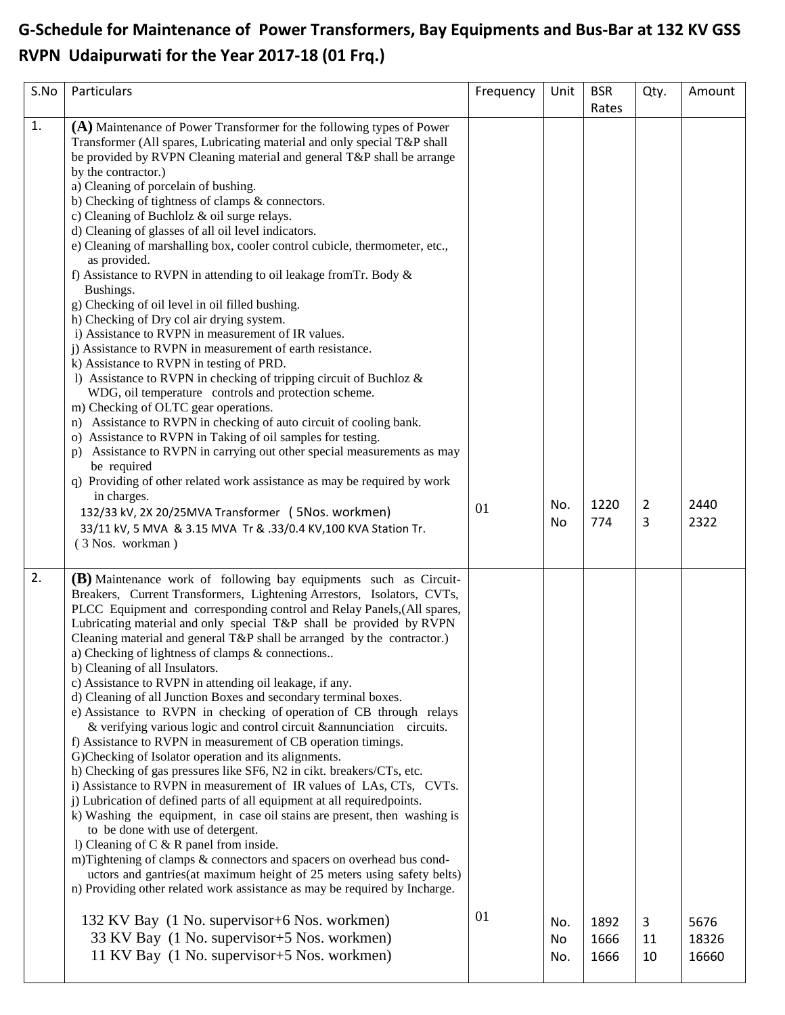## **G-Schedule for Maintenance of Power Transformers, Bay Equipments and Bus-Bar at 132 KV GSS RVPN Udaipurwati for the Year 2017-18 (01 Frq.)**

| S.No | Particulars                                                                                                                                                                                                                                                                                                                                                                                                                                                                                                                                                                                                                                                                                                                                                                                                                                                                                                                                                                                                                                                                                                                                                                                                                                                                                                                                                                                                                                                                                                                                                                                                                                         | Frequency | Unit             | <b>BSR</b><br>Rates  | Qty.          | Amount                 |
|------|-----------------------------------------------------------------------------------------------------------------------------------------------------------------------------------------------------------------------------------------------------------------------------------------------------------------------------------------------------------------------------------------------------------------------------------------------------------------------------------------------------------------------------------------------------------------------------------------------------------------------------------------------------------------------------------------------------------------------------------------------------------------------------------------------------------------------------------------------------------------------------------------------------------------------------------------------------------------------------------------------------------------------------------------------------------------------------------------------------------------------------------------------------------------------------------------------------------------------------------------------------------------------------------------------------------------------------------------------------------------------------------------------------------------------------------------------------------------------------------------------------------------------------------------------------------------------------------------------------------------------------------------------------|-----------|------------------|----------------------|---------------|------------------------|
| 1.   | $(A)$ Maintenance of Power Transformer for the following types of Power<br>Transformer (All spares, Lubricating material and only special T&P shall<br>be provided by RVPN Cleaning material and general T&P shall be arrange<br>by the contractor.)<br>a) Cleaning of porcelain of bushing.<br>b) Checking of tightness of clamps & connectors.<br>c) Cleaning of Buchlolz & oil surge relays.<br>d) Cleaning of glasses of all oil level indicators.<br>e) Cleaning of marshalling box, cooler control cubicle, thermometer, etc.,<br>as provided.<br>f) Assistance to RVPN in attending to oil leakage from Tr. Body &<br>Bushings.<br>g) Checking of oil level in oil filled bushing.<br>h) Checking of Dry col air drying system.<br>i) Assistance to RVPN in measurement of IR values.<br>j) Assistance to RVPN in measurement of earth resistance.<br>k) Assistance to RVPN in testing of PRD.<br>1) Assistance to RVPN in checking of tripping circuit of Buchloz $\&$<br>WDG, oil temperature controls and protection scheme.<br>m) Checking of OLTC gear operations.<br>n) Assistance to RVPN in checking of auto circuit of cooling bank.<br>o) Assistance to RVPN in Taking of oil samples for testing.<br>p) Assistance to RVPN in carrying out other special measurements as may<br>be required<br>q) Providing of other related work assistance as may be required by work<br>in charges.<br>132/33 kV, 2X 20/25MVA Transformer ( 5Nos. workmen)<br>33/11 kV, 5 MVA & 3.15 MVA Tr & .33/0.4 KV, 100 KVA Station Tr.<br>(3 Nos. workman)                                                                                              | 01        | No.<br><b>No</b> | 1220<br>774          | 2<br>3        | 2440<br>2322           |
| 2.   | (B) Maintenance work of following bay equipments such as Circuit-<br>Breakers, Current Transformers, Lightening Arrestors, Isolators, CVTs,<br>PLCC Equipment and corresponding control and Relay Panels, (All spares,<br>Lubricating material and only special T&P shall be provided by RVPN<br>Cleaning material and general T&P shall be arranged by the contractor.)<br>a) Checking of lightness of clamps & connections<br>b) Cleaning of all Insulators.<br>c) Assistance to RVPN in attending oil leakage, if any.<br>d) Cleaning of all Junction Boxes and secondary terminal boxes.<br>e) Assistance to RVPN in checking of operation of CB through relays<br>& verifying various logic and control circuit & annunciation circuits.<br>f) Assistance to RVPN in measurement of CB operation timings.<br>G)Checking of Isolator operation and its alignments.<br>h) Checking of gas pressures like SF6, N2 in cikt. breakers/CTs, etc.<br>i) Assistance to RVPN in measurement of IR values of LAs, CTs, CVTs.<br>j) Lubrication of defined parts of all equipment at all requiredpoints.<br>k) Washing the equipment, in case oil stains are present, then washing is<br>to be done with use of detergent.<br>1) Cleaning of $C & R$ panel from inside.<br>m)Tightening of clamps & connectors and spacers on overhead bus cond-<br>uctors and gantries (at maximum height of 25 meters using safety belts)<br>n) Providing other related work assistance as may be required by Incharge.<br>132 KV Bay (1 No. supervisor+6 Nos. workmen)<br>33 KV Bay (1 No. supervisor + 5 Nos. workmen)<br>11 KV Bay (1 No. supervisor+5 Nos. workmen) | 01        | No.<br>No<br>No. | 1892<br>1666<br>1666 | 3<br>11<br>10 | 5676<br>18326<br>16660 |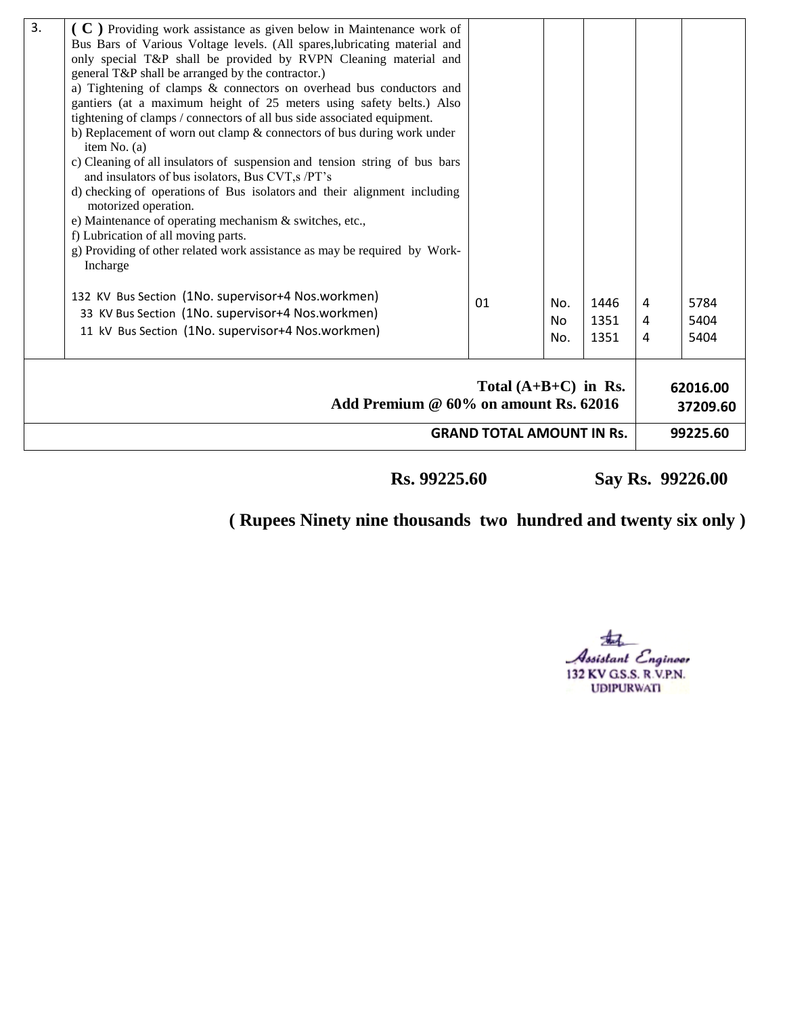| 3.                                                                                                  | ( C ) Providing work assistance as given below in Maintenance work of<br>Bus Bars of Various Voltage levels. (All spares, lubricating material and<br>only special T&P shall be provided by RVPN Cleaning material and<br>general T&P shall be arranged by the contractor.)<br>a) Tightening of clamps & connectors on overhead bus conductors and<br>gantiers (at a maximum height of 25 meters using safety belts.) Also<br>tightening of clamps / connectors of all bus side associated equipment.<br>b) Replacement of worn out clamp $&$ connectors of bus during work under<br>item No. $(a)$<br>c) Cleaning of all insulators of suspension and tension string of bus bars<br>and insulators of bus isolators, Bus CVT, s/PT's<br>d) checking of operations of Bus isolators and their alignment including<br>motorized operation.<br>e) Maintenance of operating mechanism & switches, etc.,<br>f) Lubrication of all moving parts.<br>g) Providing of other related work assistance as may be required by Work-<br>Incharge |    |                              |                      |             |                                  |  |  |
|-----------------------------------------------------------------------------------------------------|--------------------------------------------------------------------------------------------------------------------------------------------------------------------------------------------------------------------------------------------------------------------------------------------------------------------------------------------------------------------------------------------------------------------------------------------------------------------------------------------------------------------------------------------------------------------------------------------------------------------------------------------------------------------------------------------------------------------------------------------------------------------------------------------------------------------------------------------------------------------------------------------------------------------------------------------------------------------------------------------------------------------------------------|----|------------------------------|----------------------|-------------|----------------------------------|--|--|
|                                                                                                     | 132 KV Bus Section (1No. supervisor+4 Nos.workmen)<br>33 KV Bus Section (1No. supervisor+4 Nos.workmen)<br>11 kV Bus Section (1No. supervisor+4 Nos.workmen)                                                                                                                                                                                                                                                                                                                                                                                                                                                                                                                                                                                                                                                                                                                                                                                                                                                                         | 01 | No.<br>N <sub>0</sub><br>No. | 1446<br>1351<br>1351 | 4<br>4<br>4 | 5784<br>5404<br>5404             |  |  |
| Total $(A+B+C)$ in Rs.<br>Add Premium @ 60% on amount Rs. 62016<br><b>GRAND TOTAL AMOUNT IN Rs.</b> |                                                                                                                                                                                                                                                                                                                                                                                                                                                                                                                                                                                                                                                                                                                                                                                                                                                                                                                                                                                                                                      |    |                              |                      |             | 62016.00<br>37209.60<br>99225.60 |  |  |

 **Rs. 99225.60 Say Rs. 99226.00** 

 **( Rupees Ninety nine thousands two hundred and twenty six only )** 

盂 Assistant Engineer<br>132 KV GS.S. R.V.P.N.<br>UDIPURWATI